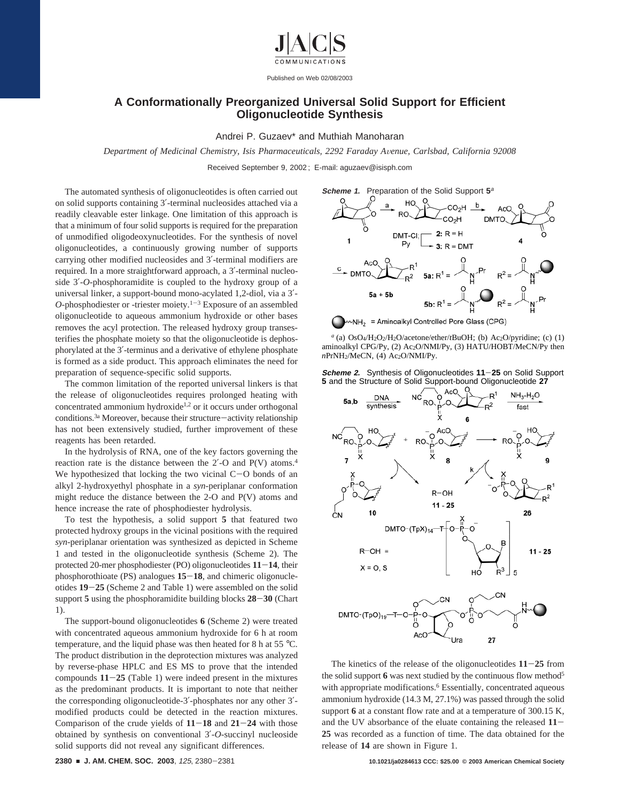

Published on Web 02/08/2003

## **A Conformationally Preorganized Universal Solid Support for Efficient Oligonucleotide Synthesis**

Andrei P. Guzaev\* and Muthiah Manoharan

*Department of Medicinal Chemistry, Isis Pharmaceuticals, 2292 Faraday A*V*enue, Carlsbad, California 92008*

Received September 9, 2002 ; E-mail: aguzaev@isisph.com

The automated synthesis of oligonucleotides is often carried out on solid supports containing 3′-terminal nucleosides attached via a readily cleavable ester linkage. One limitation of this approach is that a minimum of four solid supports is required for the preparation of unmodified oligodeoxynucleotides. For the synthesis of novel oligonucleotides, a continuously growing number of supports carrying other modified nucleosides and 3′-terminal modifiers are required. In a more straightforward approach, a 3′-terminal nucleoside 3′-*O*-phosphoramidite is coupled to the hydroxy group of a universal linker, a support-bound mono-acylated 1,2-diol, via a 3′-  $O$ -phosphodiester or -triester moiety.<sup>1-3</sup> Exposure of an assembled oligonucleotide to aqueous ammonium hydroxide or other bases removes the acyl protection. The released hydroxy group transesterifies the phosphate moiety so that the oligonucleotide is dephosphorylated at the 3′-terminus and a derivative of ethylene phosphate is formed as a side product. This approach eliminates the need for preparation of sequence-specific solid supports.

The common limitation of the reported universal linkers is that the release of oligonucleotides requires prolonged heating with concentrated ammonium hydroxide<sup>1,2</sup> or it occurs under orthogonal conditions.<sup>3a</sup> Moreover, because their structure-activity relationship has not been extensively studied, further improvement of these reagents has been retarded.

In the hydrolysis of RNA, one of the key factors governing the reaction rate is the distance between the 2′-O and P(V) atoms.4 We hypothesized that locking the two vicinal  $C-O$  bonds of an alkyl 2-hydroxyethyl phosphate in a *syn*-periplanar conformation might reduce the distance between the 2-O and P(V) atoms and hence increase the rate of phosphodiester hydrolysis.

To test the hypothesis, a solid support **5** that featured two protected hydroxy groups in the vicinal positions with the required *syn*-periplanar orientation was synthesized as depicted in Scheme 1 and tested in the oligonucleotide synthesis (Scheme 2). The protected 20-mer phosphodiester (PO) oligonucleotides **<sup>11</sup>**-**14**, their phosphorothioate (PS) analogues **<sup>15</sup>**-**18**, and chimeric oligonucleotides **<sup>19</sup>**-**<sup>25</sup>** (Scheme 2 and Table 1) were assembled on the solid support **<sup>5</sup>** using the phosphoramidite building blocks **<sup>28</sup>**-**<sup>30</sup>** (Chart 1).

The support-bound oligonucleotides **6** (Scheme 2) were treated with concentrated aqueous ammonium hydroxide for 6 h at room temperature, and the liquid phase was then heated for 8 h at 55 °C. The product distribution in the deprotection mixtures was analyzed by reverse-phase HPLC and ES MS to prove that the intended compounds  $11-25$  (Table 1) were indeed present in the mixtures as the predominant products. It is important to note that neither the corresponding oligonucleotide-3′-phosphates nor any other 3′ modified products could be detected in the reaction mixtures. Comparison of the crude yields of **<sup>11</sup>**-**<sup>18</sup>** and **<sup>21</sup>**-**<sup>24</sup>** with those obtained by synthesis on conventional 3′-*O*-succinyl nucleoside solid supports did not reveal any significant differences.



 $a$ <sup>a</sup> (a) OsO<sub>4</sub>/H<sub>2</sub>O<sub>2</sub>/H<sub>2</sub>O/acetone/ether/*t*BuOH; (b) Ac<sub>2</sub>O/pyridine; (c) (1) aminoalkyl CPG/Py, (2) Ac2O/NMI/Py, (3) HATU/HOBT/MeCN/Py then *nPrNH<sub>2</sub>*/MeCN, (4) Ac<sub>2</sub>O/NMI/Py.





The kinetics of the release of the oligonucleotides **<sup>11</sup>**-**<sup>25</sup>** from the solid support **6** was next studied by the continuous flow method5 with appropriate modifications.<sup>6</sup> Essentially, concentrated aqueous ammonium hydroxide (14.3 M, 27.1%) was passed through the solid support **6** at a constant flow rate and at a temperature of 300.15 K, and the UV absorbance of the eluate containing the released **<sup>11</sup>**- **25** was recorded as a function of time. The data obtained for the release of **14** are shown in Figure 1.